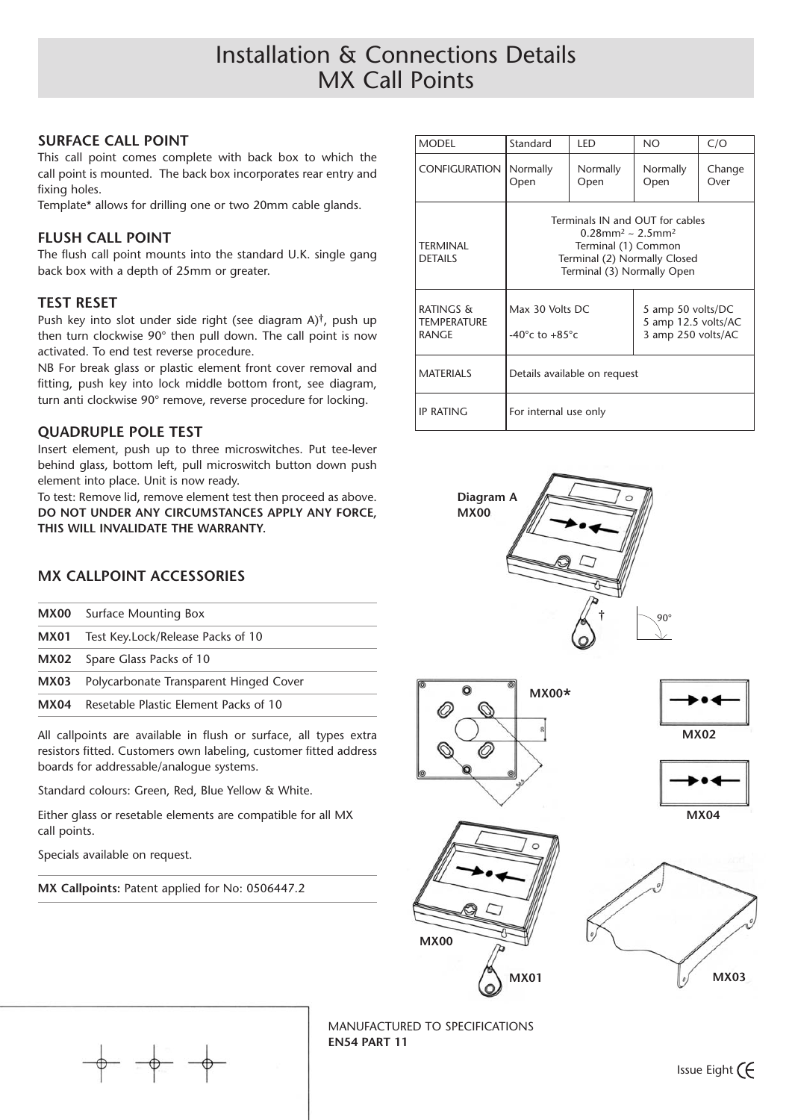# Installation & Connections Details MX Call Points

#### **SURFACE CALL POINT**

This call point comes complete with back box to which the call point is mounted. The back box incorporates rear entry and fixing holes.

Template\* allows for drilling one or two 20mm cable glands.

#### **FLUSH CALL POINT**

The flush call point mounts into the standard U.K. single gang back box with a depth of 25mm or greater.

#### **TEST RESET**

Push key into slot under side right (see diagram A)†, push up then turn clockwise 90° then pull down. The call point is now activated. To end test reverse procedure.

NB For break glass or plastic element front cover removal and fitting, push key into lock middle bottom front, see diagram, turn anti clockwise 90° remove, reverse procedure for locking.

#### **QUADRUPLE POLE TEST**

Insert element, push up to three microswitches. Put tee-lever behind glass, bottom left, pull microswitch button down push element into place. Unit is now ready.

To test: Remove lid, remove element test then proceed as above. **DO NOT UNDER ANY CIRCUMSTANCES APPLY ANY FORCE, THIS WILL INVALIDATE THE WARRANTY.**

## **MX CALLPOINT ACCESSORIES**

| MX04 | Resetable Plastic Flement Packs of 10  |  |  |
|------|----------------------------------------|--|--|
| MX03 | Polycarbonate Transparent Hinged Cover |  |  |
| MX02 | Spare Glass Packs of 10                |  |  |
| MX01 | Test Key.Lock/Release Packs of 10      |  |  |
|      | <b>MX00</b> Surface Mounting Box       |  |  |

All callpoints are available in flush or surface, all types extra resistors fitted. Customers own labeling, customer fitted address boards for addressable/analogue systems.

Standard colours: Green, Red, Blue Yellow & White.

Either glass or resetable elements are compatible for all MX call points.

Specials available on request.

**MX Callpoints:** Patent applied for No: 0506447.2

| <b>MODEL</b>                                        | Standard                                                                                                                                                            | I FD             | NΟ                                                             | C/O            |
|-----------------------------------------------------|---------------------------------------------------------------------------------------------------------------------------------------------------------------------|------------------|----------------------------------------------------------------|----------------|
| <b>CONFIGURATION</b>                                | Normally<br>Open                                                                                                                                                    | Normally<br>Open | Normally<br>Open                                               | Change<br>Over |
| TFRMINAI<br><b>DETAILS</b>                          | Terminals IN and OUT for cables<br>$0.28$ mm <sup>2</sup> ~ 2.5mm <sup>2</sup><br>Terminal (1) Common<br>Terminal (2) Normally Closed<br>Terminal (3) Normally Open |                  |                                                                |                |
| <b>RATINGS &amp;</b><br><b>TEMPERATURE</b><br>RANGE | Max 30 Volts DC<br>-40 $\degree$ c to +85 $\degree$ c                                                                                                               |                  | 5 amp 50 volts/DC<br>5 amp 12.5 volts/AC<br>3 amp 250 volts/AC |                |
| <b>MATERIALS</b>                                    | Details available on request                                                                                                                                        |                  |                                                                |                |
| <b>IP RATING</b>                                    | For internal use only                                                                                                                                               |                  |                                                                |                |



MANUFACTURED TO SPECIFICATIONS **EN54 PART 11**

Issue Eight  $\epsilon$